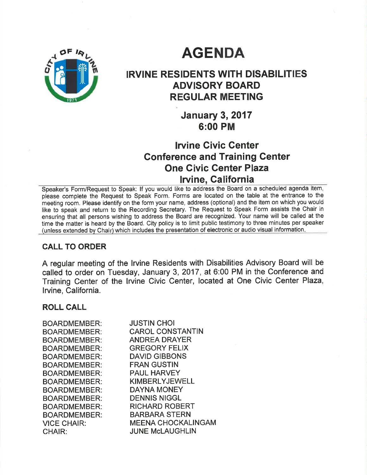# **AGENDA**

# IRVINE RESIDENTS WITH DISABILITIES ADVISORY BOARD REGULAR MEETING

**January 3, 2017** 6:00 PM

# lrvine Givic Center Gonference and Training Genter One Civic Genter Plaza lruine, Galifornia

Speaker's Form/Request to Speak: lf you would like to address the Board on a scheduled agenda item, please complete the Request to Speak Form. Forms are located on the table at the entrance to the meeting room. Please identify on the form your name, address (optional) and the item on which you would like to speak and return to the Recording Secretary. The Request to Speak Form assists the Chair in ensuring that all persons wishing to address the Board are recognized. Your name will be called at the time the matter is heard by the Board. City policy is to limit public testimony to three minutes per speaker (unless extended by Chair) which includes the presentation of electronic or audio visual information.

# CALL TO ORDER

A regular meeting of the lrvine Residents with Disabilities Advisory Board will be called to order on Tuesday, January 3,2017, at 6:00 PM in the Conference and Training Center of the lrvine Civic Center, located at One Civic Center Plaza, lrvine, California.

## ROLL CALL

| <b>BOARDMEMBER:</b> | <b>JUSTIN CHOI</b>        |
|---------------------|---------------------------|
| BOARDMEMBER:        | <b>CAROL CONSTANTIN</b>   |
| BOARDMEMBER:        | <b>ANDREA DRAYER</b>      |
| <b>BOARDMEMBER:</b> | <b>GREGORY FELIX</b>      |
| <b>BOARDMEMBER:</b> | <b>DAVID GIBBONS</b>      |
| BOARDMEMBER:        | <b>FRAN GUSTIN</b>        |
| <b>BOARDMEMBER:</b> | <b>PAUL HARVEY</b>        |
| <b>BOARDMEMBER:</b> | <b>KIMBERLYJEWELL</b>     |
| <b>BOARDMEMBER:</b> | <b>DAYNA MONEY</b>        |
| <b>BOARDMEMBER:</b> | <b>DENNIS NIGGL</b>       |
| <b>BOARDMEMBER:</b> | <b>RICHARD ROBERT</b>     |
| <b>BOARDMEMBER:</b> | <b>BARBARA STERN</b>      |
| <b>VICE CHAIR:</b>  | <b>MEENA CHOCKALINGAM</b> |
| CHAIR:              | <b>JUNE McLAUGHLIN</b>    |
|                     |                           |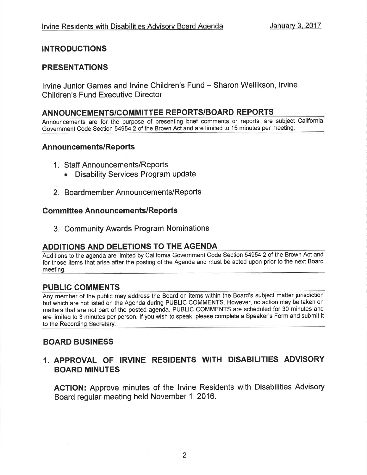# INTRODUCTIONS

# PRESENTATIONS

Irvine Junior Games and Irvine Children's Fund - Sharon Wellikson, Irvine Children's Fund Executive Director

## ANNOUNCEMENTS/COMMITTEE REPORTS/BOARD REPORTS

Announcements are for the purpose of presenting brief comments or reports, are subject California Government Code Section 54954.2 of the Brown Act and are limited to 15 minutes per meeting.

#### Announcements/Reports

- <sup>1</sup>. Staff Announcements/Reports
	- Disability Services Program update
- 2. Boardmember Announcements/Reports

## **Committee Announcements/Reports**

3. Community Awards Program Nominations

## ADDITIONS AND DELETIONS TO THE AGENDA

Additions to the agenda are limited by California Government Code Section 54954.2 of the Brown Act and for those items that arise after the posting of the Agenda and must be acted upon prior to the next Board meeting.

## PUBLIC COMMENTS

Any member of the public may address the Board on items within the Board's subject matter jurisdiction but which are not listed on the Agenda during PUBLIC COMMENTS. However, no action may be taken on matters that are not part of the posted agenda. PUBLIC COMMENTS are scheduled for 30 minutes and are limited to 3 minutes per person. lf you wish to speak, please complete a Speaker's Form and submit it to the Recording Secretary.

## BOARD BUSINESS

# I. APPROVAL OF IRVINE RESIDENTS WITH DISABILITIES ADVISORY BOARD MINUTES

AGTION: Approve minutes of the lrvine Residents with Disabilities Advisory Board regular meeting held November 1,2016.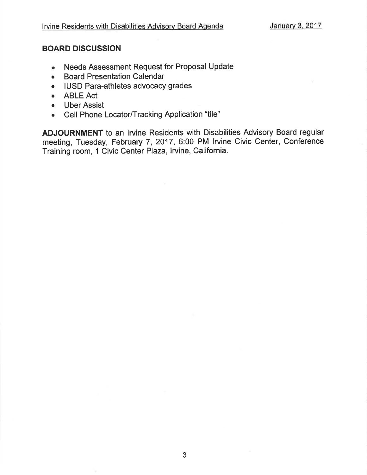# BOARD DISCUSSION

- o Needs Assessment Request for Proposal Update
- Board Presentation Calendar
- IUSD Para-athletes advocacy grades
- ABLE Act
- Uber Assist
- . Cell Phone Locator/Tracking Application "tile"

ADJOURNMENT to an lrvine Residents with Disabilities Advisory Board regular meeting, Tuesday, February 7, 2017, 6:00 PM lrvine Civic Center, Conference Training room, 1 Civic Center Plaza, Irvine, California.